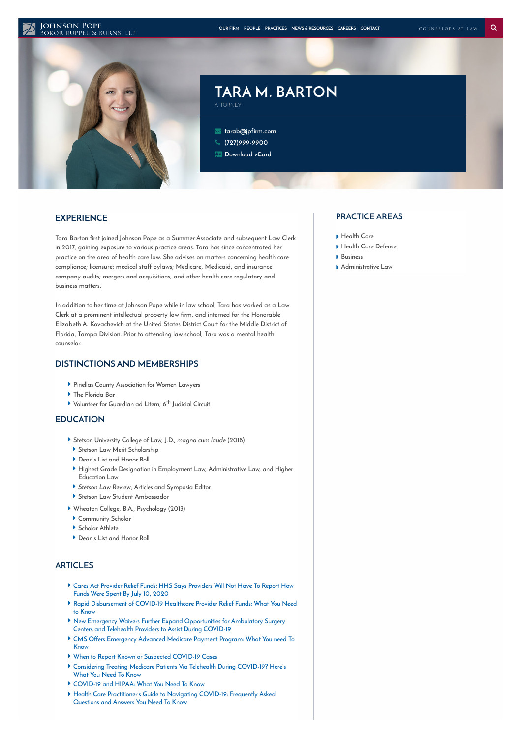#### **JOHNSON POPE**



# **TARA M. BARTON** ATTORNEY

 **[tarab@jpfirm.com](mailto:tarab@jpfirm.com) [\(727\)999-9900](tel:+1-727-999-9900) [Download](https://www.jpfirm.com/wp-content/themes/paperstreet/vcard/vcard.php?name=tara-caney-2) vCard**

# **EXPERIENCE**

**Tara Barton first joined Johnson Pope as a Summer Associate and subsequent Law Clerk in 2017, gaining exposure to various practice areas. Tara has since concentrated her practice on the area of health care law. She advises on matters concerning health care compliance; licensure; medical staff bylaws; Medicare, Medicaid, and insurance company audits; mergers and acquisitions, and other health care regulatory and business matters.**

**In addition to her time at Johnson Pope while in law school, Tara has worked as a Law Clerk at a prominent intellectual property law firm, and interned for the Honorable Elizabeth A. Kovachevich at the United States District Court for the Middle District of Florida, Tampa Division. Prior to attending law school, Tara was a mental health counselor.**

## **DISTINCTIONS AND MEMBERSHIPS**

- **Pinellas County Association for Women Lawyers**
- **The Florida Bar**
- **Volunteer for Guardian ad Litem, 6 Judicial Circuit th**

## **EDUCATION**

- **Stetson University College of Law, J.D., magna cum laude (2018)**
- **Stetson Law Merit Scholarship**
- **Dean's List and Honor Roll**
- **Highest Grade Designation in Employment Law, Administrative Law, and Higher Education Law**
- **Stetson Law Review, Articles and Symposia Editor**
- **Stetson Law Student Ambassador**
- **Wheaton College, B.A., Psychology (2013)**
- **Community Scholar**
- **Scholar Athlete**
- **Dean's List and Honor Roll**

# **ARTICLES**

- **Cares Act Provider Relief Funds: HHS Says [Providers](https://www.jpfirm.com/news-resources/cares-act-provider-relief-funds-hhs-says-providers-will-not-report-funds-spent-july-10-2020/) Will Not Have To Report How Funds Were Spent By July 10, 2020**
- **Rapid [Disbursement](https://www.jpfirm.com/news-resources/rapid-disbursement-covid-19-healthcare-provider-relief-funds-need-know/) of COVID-19 Healthcare Provider Relief Funds: What You Need to Know**
- **New Emergency Waivers Further Expand [Opportunities](https://www.jpfirm.com/news-resources/new-emergency-waivers-expand-opportunities-ambulatory-surgery-centers-telehealth-providers-assist-covid-19/) for Ambulatory Surgery Centers and Telehealth Providers to Assist During COVID-19**
- **CMS Offers [Emergency](https://www.jpfirm.com/news-resources/cms-offers-emergency-advanced-medicare-payment-program-need-know/) Advanced Medicare Payment Program: What You need To Know**
- **When to Report Known or Suspected [COVID-19](https://www.jpfirm.com/news-resources/when-to-report-known-or-suspected-covid-19-cases/) Cases**
- **[Considering](https://www.jpfirm.com/news-resources/considering-treating-medicare-patients-via-telehealth-during-covid-19-heres-what-you-need-to-know/) Treating Medicare Patients Via Telehealth During COVID-19? Here's What You Need To Know**
- **[COVID-19](https://www.jpfirm.com/news-resources/covid-19-and-hipaa-what-you-need-to-know/) and HIPAA: What You Need To Know**
- **Health Care [Practitioner's](https://www.jpfirm.com/news-resources/health-care-practitioners-guide-to-navigating-covid-19-frequently-asked-questions-and-answers/) Guide to Navigating COVID-19: Frequently Asked Questions and Answers You Need To Know**

#### **PRACTICE AREAS**

- **[Health](https://www.jpfirm.com/practices/health-care/) Care**
- **Health Care [Defense](https://www.jpfirm.com/practices/health-care-defense/)**
- **[Business](https://www.jpfirm.com/practices/business-tax-law/)**
- **[Administrative](https://www.jpfirm.com/practices/administrative-law/) Law**